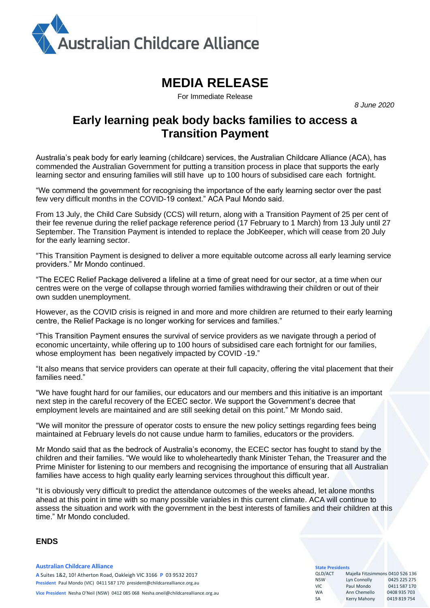

# **MEDIA RELEASE**

For Immediate Release

*8 June 2020*

# **Early learning peak body backs families to access a Transition Payment**

Australia's peak body for early learning (childcare) services, the Australian Childcare Alliance (ACA), has commended the Australian Government for putting a transition process in place that supports the early learning sector and ensuring families will still have up to 100 hours of subsidised care each fortnight.

"We commend the government for recognising the importance of the early learning sector over the past few very difficult months in the COVID-19 context." ACA Paul Mondo said.

From 13 July, the Child Care Subsidy (CCS) will return, along with a Transition Payment of 25 per cent of their fee revenue during the relief package reference period (17 February to 1 March) from 13 July until 27 September. The Transition Payment is intended to replace the JobKeeper, which will cease from 20 July for the early learning sector.

"This Transition Payment is designed to deliver a more equitable outcome across all early learning service providers." Mr Mondo continued.

"The ECEC Relief Package delivered a lifeline at a time of great need for our sector, at a time when our centres were on the verge of collapse through worried families withdrawing their children or out of their own sudden unemployment.

However, as the COVID crisis is reigned in and more and more children are returned to their early learning centre, the Relief Package is no longer working for services and families."

"This Transition Payment ensures the survival of service providers as we navigate through a period of economic uncertainty, while offering up to 100 hours of subsidised care each fortnight for our families, whose employment has been negatively impacted by COVID -19."

"It also means that service providers can operate at their full capacity, offering the vital placement that their families need."

"We have fought hard for our families, our educators and our members and this initiative is an important next step in the careful recovery of the ECEC sector. We support the Government's decree that employment levels are maintained and are still seeking detail on this point." Mr Mondo said.

"We will monitor the pressure of operator costs to ensure the new policy settings regarding fees being maintained at February levels do not cause undue harm to families, educators or the providers.

Mr Mondo said that as the bedrock of Australia's economy, the ECEC sector has fought to stand by the children and their families. "We would like to wholeheartedly thank Minister Tehan, the Treasurer and the Prime Minister for listening to our members and recognising the importance of ensuring that all Australian families have access to high quality early learning services throughout this difficult year.

"It is obviously very difficult to predict the attendance outcomes of the weeks ahead, let alone months ahead at this point in time with so many possible variables in this current climate. ACA will continue to assess the situation and work with the government in the best interests of families and their children at this time." Mr Mondo concluded.

#### **ENDS**

#### **Australian Childcare Alliance A** Suites 1&2, 10! Atherton Road, Oakleigh VIC 3166 **P** 03 9532 2017 **President** Paul Mondo (VIC) 0411 587 170 president@childcarealliance.org.au **Vice President** Nesha O'Neil (NSW) 0412 085 068 [Nesha.oneil@c](mailto:Nesha.oneil@)hildcarealliance.org.au

## **State**<br>QLD/

| <b>JUGLE I I CJINCIILJ</b> |                                  |              |  |
|----------------------------|----------------------------------|--------------|--|
| <b>QLD/ACT</b>             | Majella Fitzsimmons 0410 526 136 |              |  |
| <b>NSW</b>                 | Lyn Connolly                     | 0425 225 275 |  |
| VIC.                       | Paul Mondo                       | 0411 587 170 |  |
| <b>WA</b>                  | Ann Chemello                     | 0408 935 703 |  |
| <b>SA</b>                  | Kerry Mahony                     | 0419819754   |  |